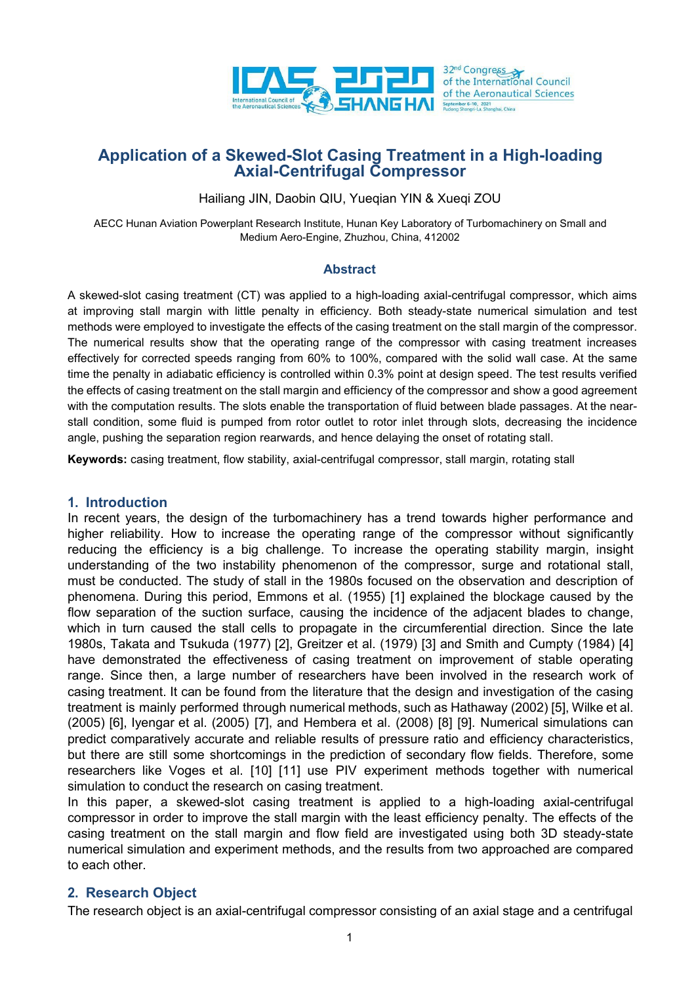

# **Application of a Skewed-Slot Casing Treatment in a High-loading Axial-Centrifugal Compressor**

Hailiang JIN, Daobin QIU, Yueqian YIN & Xueqi ZOU

AECC Hunan Aviation Powerplant Research Institute, Hunan Key Laboratory of Turbomachinery on Small and Medium Aero-Engine, Zhuzhou, China, 412002

## **Abstract**

A skewed-slot casing treatment (CT) was applied to a high-loading axial-centrifugal compressor, which aims at improving stall margin with little penalty in efficiency. Both steady-state numerical simulation and test methods were employed to investigate the effects of the casing treatment on the stall margin of the compressor. The numerical results show that the operating range of the compressor with casing treatment increases effectively for corrected speeds ranging from 60% to 100%, compared with the solid wall case. At the same time the penalty in adiabatic efficiency is controlled within 0.3% point at design speed. The test results verified the effects of casing treatment on the stall margin and efficiency of the compressor and show a good agreement with the computation results. The slots enable the transportation of fluid between blade passages. At the near stall condition, some fluid is pumped from rotor outlet to rotor inlet through slots, decreasing the incidence angle, pushing the separation region rearwards, and hence delaying the onset of rotating stall.

**Keywords:** casing treatment, flow stability, axial-centrifugal compressor, stall margin, rotating stall

### **1. Introduction**

In recent years, the design of the turbomachinery has a trend towards higher performance and higher reliability. How to increase the operating range of the compressor without significantly reducing the efficiency is a big challenge. To increase the operating stability margin, insight understanding of the two instability phenomenon of the compressor, surge and rotational stall, must be conducted. The study of stall in the 1980s focused on the observation and description of phenomena. During this period, Emmons et al. (1955) [1] explained the blockage caused by the flow separation of the suction surface, causing the incidence of the adjacent blades to change, which in turn caused the stall cells to propagate in the circumferential direction. Since the late 1980s, Takata and Tsukuda (1977) [2], Greitzer et al. (1979) [3] and Smith and Cumpty (1984)[4] have demonstrated the effectiveness of casing treatment on improvement of stable operating range. Since then, a large number of researchers have been involved in the research work of casing treatment. It can be found from the literature that the design and investigation of the casing treatment is mainly performed through numerical methods, such as Hathaway (2002)[5], Wilke et al. (2005) [6], Iyengar et al. (2005) [7], and Hembera et al. (2008) [8] [9]. Numerical simulations can predict comparatively accurate and reliable results of pressure ratio and efficiency characteristics, but there are still some shortcomings in the prediction of secondary flow fields. Therefore, some researchers like Voges et al. [10] [11] use PIV experiment methods together with numerical simulation to conduct the research on casing treatment.

In this paper, a skewed-slot casing treatment is applied to a high-loading axial-centrifugal compressor in order to improve the stall margin with the least efficiency penalty. The effects of the casing treatment on the stall margin and flow field are investigated using both 3D steady-state numerical simulation and experiment methods, and the results from two approached are compared to each other.

# **2. Research Object**

The research object is an axial-centrifugal compressor consisting of an axial stage and a centrifugal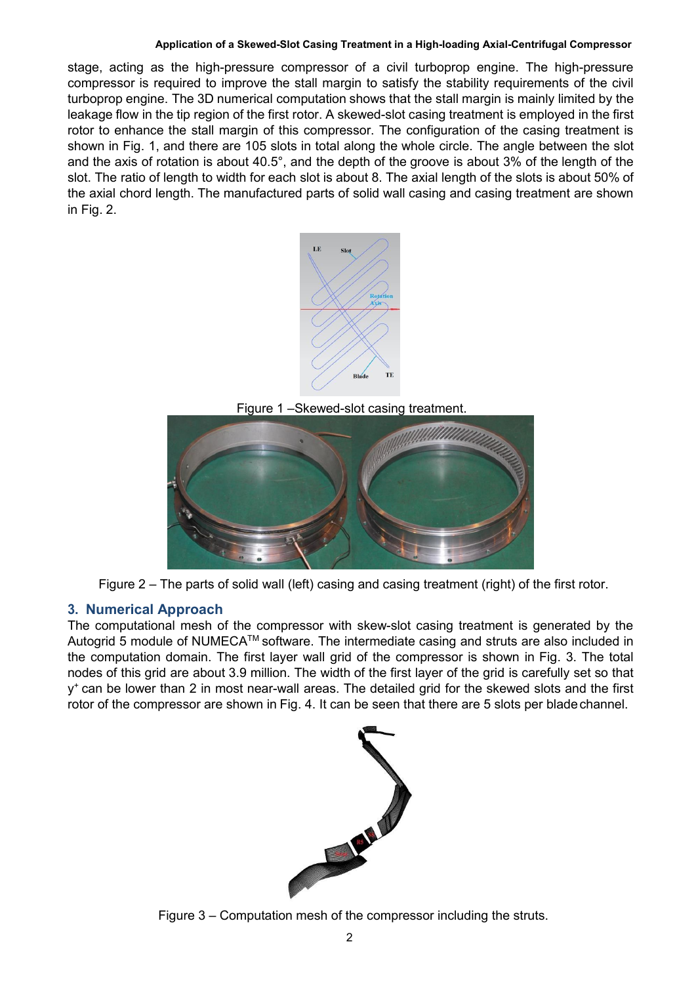## **Application of a Skewed-Slot Casing Treatment in a High-loading Axial-Centrifugal Compressor**

stage, acting as the high-pressure compressor of a civil turboprop engine. The high-pressure compressor is required to improve the stall margin to satisfy the stability requirements of the civil turboprop engine. The 3D numerical computation shows that the stall margin is mainly limited by the leakage flow in the tip region of the first rotor. A skewed-slot casing treatment is employed in the first rotor to enhance the stall margin of this compressor. The configuration of the casing treatment is shown in Fig. 1, and there are 105 slots in total along the whole circle. The angle between the slot and the axis of rotation is about  $40.5^{\circ}$ , and the depth of the groove is about 3% of the length of the slot. The ratio of length to width for each slot is about 8. The axial length of the slots is about 50% of the axial chord length. The manufactured parts of solid wall casing and casing treatment are shown in Fig. 2.



Figure 1 –Skewed-slot casing treatment.



Figure  $2$  – The parts of solid wall (left) casing and casing treatment (right) of the first rotor.

# **3. Numerical Approach**

The computational mesh of the compressor with skew-slot casing treatment is generated by the Autogrid 5 module of NUMECA™ software. The intermediate casing and struts are also included in the computation domain. The first layer wall grid of the compressor is shown in Fig. 3. The total nodes of this grid are about 3.9 million. The width of the first layer of the grid is carefully set so that y <sup>+</sup> can be lower than 2 in most near-wall areas. The detailed grid for the skewed slots and the first rotor of the compressor are shown in Fig. 4. It can be seen that there are 5 slots per bladechannel.



Figure 3 – Computation mesh of the compressor including the struts.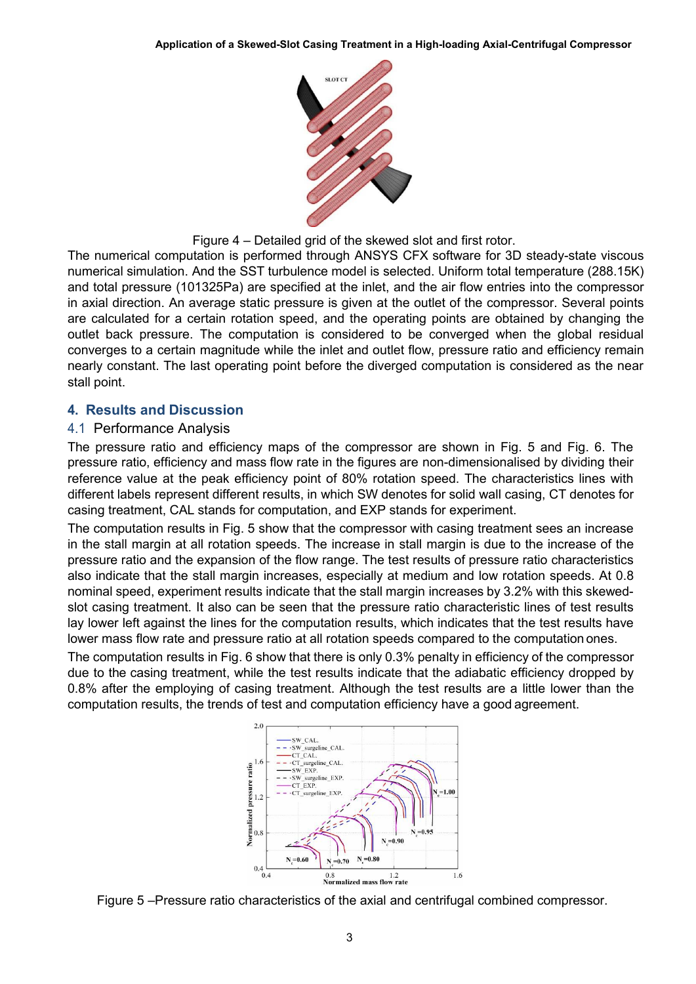

Figure 4 – Detailed grid of the skewed slot and first rotor.

The numerical computation is performed through ANSYS CFX software for 3D steady-state viscous numerical simulation. And the SST turbulence model is selected. Uniform total temperature (288.15K) and total pressure (101325Pa) are specified at the inlet, and the air flow entries into the compressor in axial direction. An average static pressure is given at the outlet of the compressor. Several points are calculated for a certain rotation speed, and the operating points are obtained by changing the outlet back pressure. The computation is considered to be converged when the global residual converges to a certain magnitude while the inlet and outlet flow, pressure ratio and efficiency remain nearly constant. The last operating point before the diverged computation isconsidered as the near stall point.

# **4. Results and Discussion**

## 4.1 Performance Analysis

The pressure ratio and efficiency maps of the compressor are shown in Fig. 5 and Fig. 6. The pressure ratio, efficiency and mass flow rate in the figures are non-dimensionalised by dividing their reference value at the peak efficiency point of 80% rotation speed. The characteristics lines with different labels represent different results, in which SW denotes for solid wall casing, CT denotes for casing treatment, CAL stands for computation, and EXP stands for experiment.

The computation results in Fig. 5 show that the compressor with casing treatment sees an increase in the stall margin at all rotation speeds. The increase in stall margin is due to the increase of the pressure ratio and the expansion of the flow range. The test results of pressure ratio characteristics also indicate that the stall margin increases, especially at medium and low rotation speeds. At 0.8 nominal speed, experiment results indicate that the stall margin increases by 3.2% with this skewed slot casing treatment. It also can be seen that the pressure ratio characteristic lines of test results lay lower left against the lines for the computation results, which indicates that the test results have lower mass flow rate and pressure ratio at all rotation speeds compared to the computation ones.

The computation results in Fig. 6 show that there is only 0.3% penalty in efficiency of the compressor due to the casing treatment, while the test results indicate that the adiabatic efficiency dropped by 0.8% after the employing of casing treatment. Although the test results are a little lower than the computation results, the trends of test and computation efficiency have a good agreement.



Figure 5 –Pressure ratio characteristics of the axial and centrifugal combined compressor.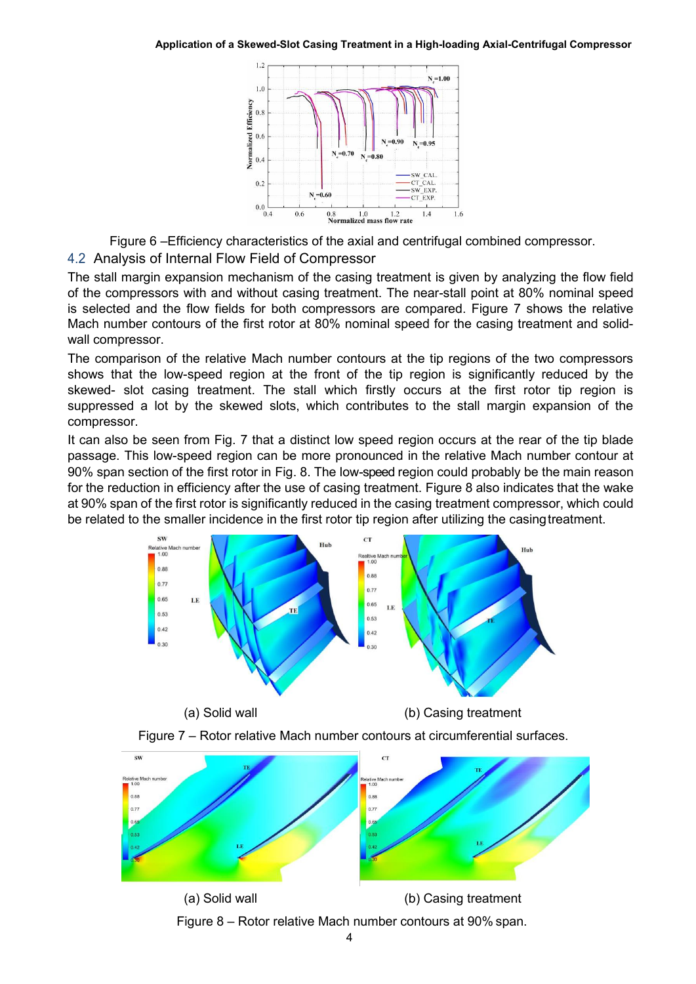

Figure 6 –Efficiency characteristics of the axial and centrifugal combined compressor.

# 4.2 Analysis of Internal Flow Field of Compressor

The stall margin expansion mechanism of the casing treatment is given by analyzing the flow field of the compressors with and without casing treatment. The near-stall point at 80% nominal speed is selected and the flow fields for both compressors are compared. Figure 7 shows the relative Mach number contours of the first rotor at 80% nominal speed for the casing treatment and solid wall compressor.

The comparison of the relative Mach number contours at the tip regions of the two compressors shows that the low-speed region at the front of the tip region is significantly reduced by the skewed- slot casing treatment. The stall which firstly occurs at the first rotor tip region is suppressed a lot by the skewed slots, which contributes to the stall margin expansion of the compressor.

It can also be seen from Fig. 7 that a distinct low speed region occurs at the rear of the tip blade passage. This low-speed region can be more pronounced in the relative Mach number contour at 90% span section of the first rotor in Fig. 8. The low-speed region could probably be the main reason for the reduction in efficiency after the use of casing treatment. Figure 8 also indicates that the wake at 90% span of the first rotor is significantly reduced in the casing treatment compressor, which could be related to the smaller incidence in the first rotor tip region after utilizing the casingtreatment.





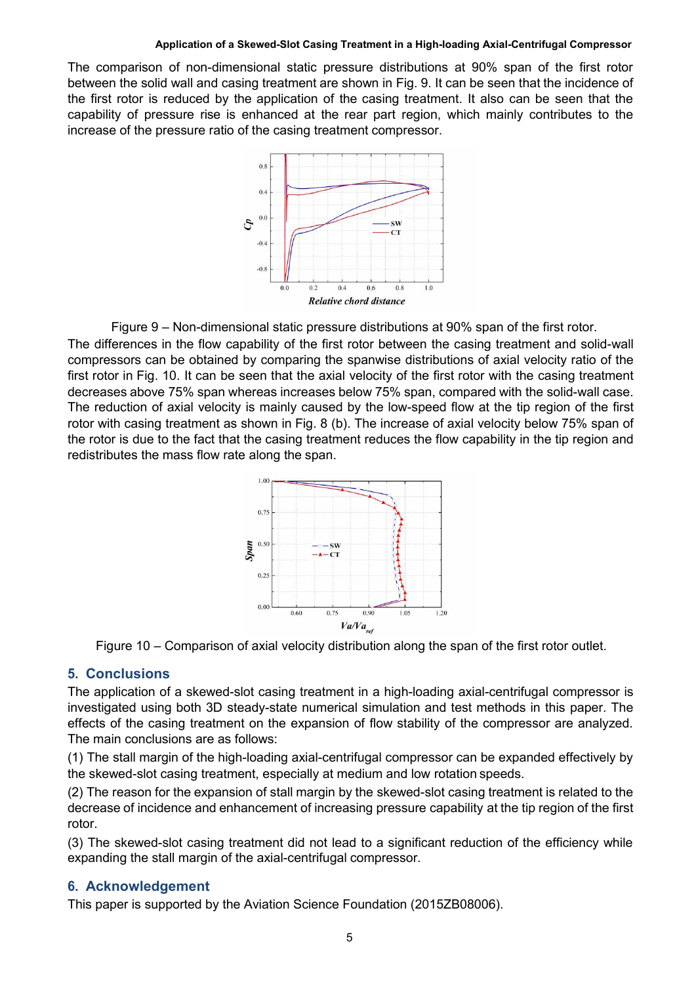#### **Application of a Skewed-Slot Casing Treatment in a High-loading Axial-Centrifugal Compressor**

The comparison of non-dimensional static pressure distributions at 90% span of the first rotor between the solid wall and casing treatment are shown in Fig. 9. It can be seen that the incidence of the first rotor is reduced by the application of the casing treatment. It also can be seen that the capability of pressure rise is enhanced at the rear part region, which mainly contributes to the increase of the pressure ratio of the casing treatment compressor.



Figure 9 – Non-dimensional static pressure distributions at 90% span of the first rotor. The differences in the flow capability of the first rotor between the casing treatment and solid-wall compressors can be obtained by comparing the spanwise distributions of axial velocity ratio of the first rotor in Fig. 10. It can be seen that the axial velocity of the first rotor with the casing treatment decreases above 75% span whereas increases below 75% span, compared with the solid-wall case. The reduction of axial velocity is mainly caused by the low-speed flow at the tip region of the first rotor with casing treatment as shown in Fig. 8 (b). The increase of axial velocity below 75% span of the rotor is due to the fact that the casing treatment reduces the flow capability in the tip region and redistributes the mass flow rate along the span.



Figure 10 – Comparison of axial velocity distribution along the span of the first rotor outlet.

# **5. Conclusions**

The application of a skewed-slot casing treatment in a high-loading axial-centrifugal compressor is investigated using both 3D steady-state numerical simulation and test methods in this paper. The effects of the casing treatment on the expansion of flow stability of the compressor are analyzed. The main conclusions are as follows:

(1) The stall margin of the high-loading axial-centrifugal compressor can be expanded effectively by the skewed-slot casing treatment, especially at medium and low rotation speeds.

(2) The reason for the expansion of stall margin by the skewed-slot casing treatment is related to the decrease of incidence and enhancement of increasing pressure capability at the tip region of the first rotor.

(3) The skewed-slot casing treatment did not lead to a significant reduction of the efficiency while expanding the stall margin of the axial-centrifugal compressor.

# **6. Acknowledgement**

This paper is supported by the Aviation Science Foundation (2015ZB08006).